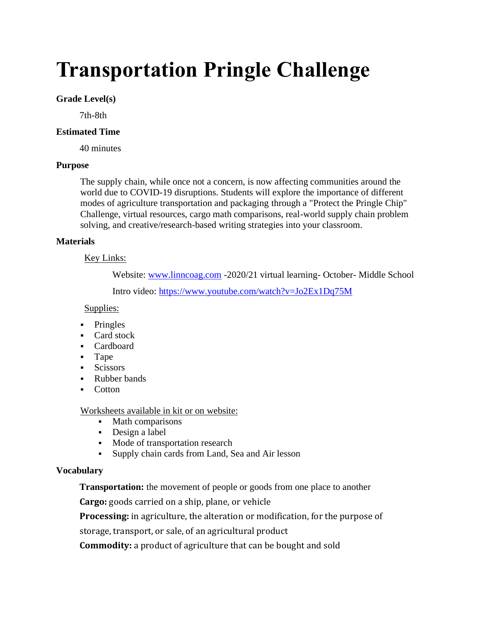# **Transportation Pringle Challenge**

## **Grade Level(s)**

7th-8th

## **Estimated Time**

40 minutes

### **Purpose**

The supply chain, while once not a concern, is now affecting communities around the world due to COVID-19 disruptions. Students will explore the importance of different modes of agriculture transportation and packaging through a "Protect the Pringle Chip" Challenge, virtual resources, cargo math comparisons, real-world supply chain problem solving, and creative/research-based writing strategies into your classroom.

### **Materials**

## Key Links:

Website: [www.linncoag.com](http://www.linncoag.com/) -2020/21 virtual learning- October- Middle School

Intro video:<https://www.youtube.com/watch?v=Jo2Ex1Dq75M>

## Supplies:

- **•** Pringles
- Card stock
- Cardboard
- Tape
- Scissors
- Rubber bands
- **Cotton**

# Worksheets available in kit or on website:

- Math comparisons
- Design a label
- Mode of transportation research
- Supply chain cards from Land, Sea and Air lesson

# **Vocabulary**

**Transportation:** the movement of people or goods from one place to another

**Cargo:** goods carried on a ship, plane, or vehicle

**Processing:** in agriculture, the alteration or modification, for the purpose of storage, transport, or sale, of an agricultural product

**Commodity:** a product of agriculture that can be bought and sold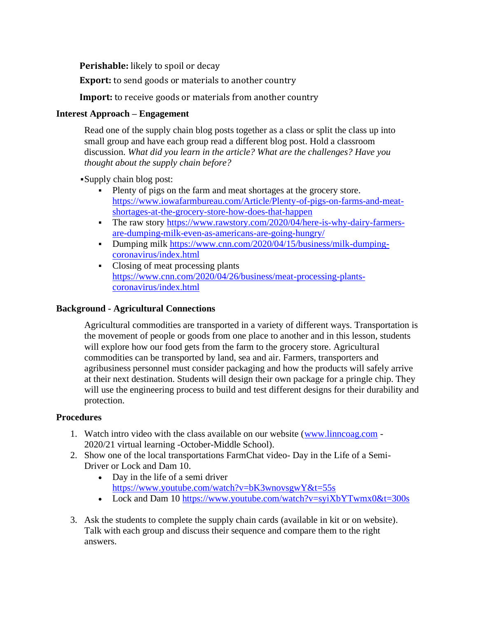**Perishable:** likely to spoil or decay

**Export:** to send goods or materials to another country

**Import:** to receive goods or materials from another country

## **Interest Approach – Engagement**

Read one of the supply chain blog posts together as a class or split the class up into small group and have each group read a different blog post. Hold a classroom discussion. *What did you learn in the article? What are the challenges? Have you thought about the supply chain before?*

▪Supply chain blog post:

- Plenty of pigs on the farm and meat shortages at the grocery store. [https://www.iowafarmbureau.com/Article/Plenty-of-pigs-on-farms-and-meat](https://www.iowafarmbureau.com/Article/Plenty-of-pigs-on-farms-and-meat-shortages-at-the-grocery-store-how-does-that-happen)[shortages-at-the-grocery-store-how-does-that-happen](https://www.iowafarmbureau.com/Article/Plenty-of-pigs-on-farms-and-meat-shortages-at-the-grocery-store-how-does-that-happen)
- The raw story [https://www.rawstory.com/2020/04/here-is-why-dairy-farmers](https://www.rawstory.com/2020/04/here-is-why-dairy-farmers-are-dumping-milk-even-as-americans-are-going-hungry/)[are-dumping-milk-even-as-americans-are-going-hungry/](https://www.rawstory.com/2020/04/here-is-why-dairy-farmers-are-dumping-milk-even-as-americans-are-going-hungry/)
- Dumping milk [https://www.cnn.com/2020/04/15/business/milk-dumping](https://www.cnn.com/2020/04/15/business/milk-dumping-coronavirus/index.html)[coronavirus/index.html](https://www.cnn.com/2020/04/15/business/milk-dumping-coronavirus/index.html)
- Closing of meat processing plants [https://www.cnn.com/2020/04/26/business/meat-processing-plants](https://www.cnn.com/2020/04/26/business/meat-processing-plants-coronavirus/index.html)[coronavirus/index.html](https://www.cnn.com/2020/04/26/business/meat-processing-plants-coronavirus/index.html)

## **Background - Agricultural Connections**

Agricultural commodities are transported in a variety of different ways. Transportation is the movement of people or goods from one place to another and in this lesson, students will explore how our food gets from the farm to the grocery store. Agricultural commodities can be transported by land, sea and air. Farmers, transporters and agribusiness personnel must consider packaging and how the products will safely arrive at their next destination. Students will design their own package for a pringle chip. They will use the engineering process to build and test different designs for their durability and protection.

### **Procedures**

- 1. Watch intro video with the class available on our website [\(www.linncoag.com](http://www.linncoag.com/) 2020/21 virtual learning -October-Middle School).
- 2. Show one of the local transportations FarmChat video- Day in the Life of a Semi-Driver or Lock and Dam 10.
	- Day in the life of a semi driver <https://www.youtube.com/watch?v=bK3wnovsgwY&t=55s>
	- Lock and Dam 10<https://www.youtube.com/watch?v=syiXbYTwmx0&t=300s>
- 3. Ask the students to complete the supply chain cards (available in kit or on website). Talk with each group and discuss their sequence and compare them to the right answers.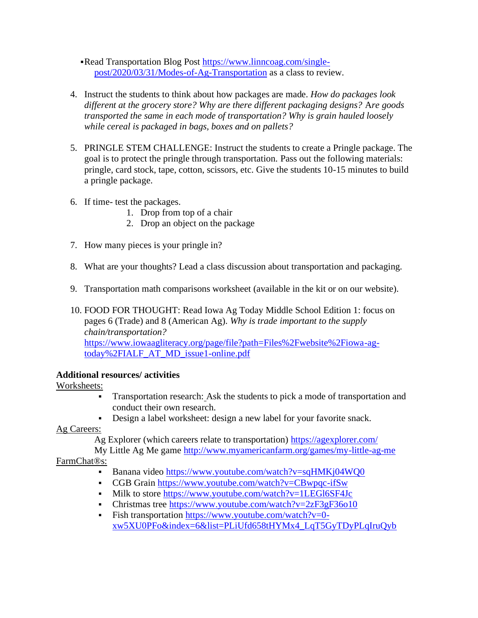- ▪Read Transportation Blog Post [https://www.linncoag.com/single](https://www.linncoag.com/single-post/2020/03/31/Modes-of-Ag-Transportation)[post/2020/03/31/Modes-of-Ag-Transportation](https://www.linncoag.com/single-post/2020/03/31/Modes-of-Ag-Transportation) as a class to review.
- 4. Instruct the students to think about how packages are made. *How do packages look different at the grocery store? Why are there different packaging designs?* A*re goods transported the same in each mode of transportation? Why is grain hauled loosely while cereal is packaged in bags, boxes and on pallets?*
- 5. PRINGLE STEM CHALLENGE: Instruct the students to create a Pringle package. The goal is to protect the pringle through transportation. Pass out the following materials: pringle, card stock, tape, cotton, scissors, etc. Give the students 10-15 minutes to build a pringle package.
- 6. If time- test the packages.
	- 1. Drop from top of a chair
	- 2. Drop an object on the package
- 7. How many pieces is your pringle in?
- 8. What are your thoughts? Lead a class discussion about transportation and packaging.
- 9. Transportation math comparisons worksheet (available in the kit or on our website).
- 10. FOOD FOR THOUGHT: Read Iowa Ag Today Middle School Edition 1: focus on pages 6 (Trade) and 8 (American Ag). *Why is trade important to the supply chain/transportation?*  [https://www.iowaagliteracy.org/page/file?path=Files%2Fwebsite%2Fiowa-ag](https://www.iowaagliteracy.org/page/file?path=Files%2Fwebsite%2Fiowa-ag-today%2FIALF_AT_MD_issue1-online.pdf)[today%2FIALF\\_AT\\_MD\\_issue1-online.pdf](https://www.iowaagliteracy.org/page/file?path=Files%2Fwebsite%2Fiowa-ag-today%2FIALF_AT_MD_issue1-online.pdf)

# **Additional resources/ activities**

# Worksheets:

- Transportation research: Ask the students to pick a mode of transportation and conduct their own research.
- Design a label worksheet: design a new label for your favorite snack.

Ag Careers:

Ag Explorer (which careers relate to transportation)<https://agexplorer.com/>

My Little Ag Me game<http://www.myamericanfarm.org/games/my-little-ag-me> FarmChat®s:

- Banana video<https://www.youtube.com/watch?v=sqHMKj04WQ0>
- CGB Grain<https://www.youtube.com/watch?v=CBwpqc-ifSw>
- Milk to store<https://www.youtube.com/watch?v=1LEGl6SF4Jc>
- Christmas tree https://www.youtube.com/watch?v= $2zF3gF36010$
- Fish transportation [https://www.youtube.com/watch?v=0](https://www.youtube.com/watch?v=0-xw5XU0PFo&index=6&list=PLiUfd658tHYMx4_LqT5GyTDyPLqIruQyb) [xw5XU0PFo&index=6&list=PLiUfd658tHYMx4\\_LqT5GyTDyPLqIruQyb](https://www.youtube.com/watch?v=0-xw5XU0PFo&index=6&list=PLiUfd658tHYMx4_LqT5GyTDyPLqIruQyb)